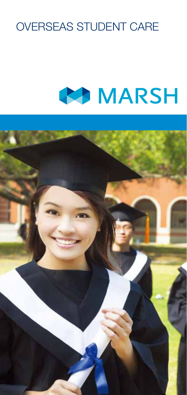# OVERSEAS STUDENT CARE

# **BEA** MARSH

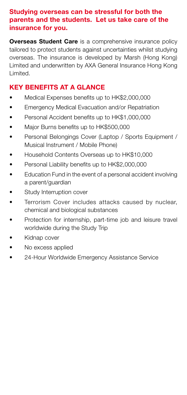#### Studying overseas can be stressful for both the parents and the students. Let us take care of the insurance for you.

**Overseas Student Care** is a comprehensive insurance policy tailored to protect students against uncertainties whilst studying overseas. The insurance is developed by Marsh (Hong Kong) Limited and underwritten by AXA General Insurance Hong Kong Limited.

# KEY BENEFITS AT A GLANCE

- Medical Expenses benefits up to HK\$2,000,000
- Emergency Medical Evacuation and/or Repatriation
- Personal Accident benefits up to HK\$1,000,000
- Major Burns benefits up to HK\$500,000
- Personal Belongings Cover (Laptop / Sports Equipment / Musical Instrument / Mobile Phone)
- Household Contents Overseas up to HK\$10,000
- Personal Liability benefits up to HK\$2,000,000
- Education Fund in the event of a personal accident involving a parent/guardian
- Study Interruption cover
- Terrorism Cover includes attacks caused by nuclear. chemical and biological substances
- Protection for internship, part-time job and leisure travel worldwide during the Study Trip
- Kidnap cover
- No excess applied
- 24-Hour Worldwide Emergency Assistance Service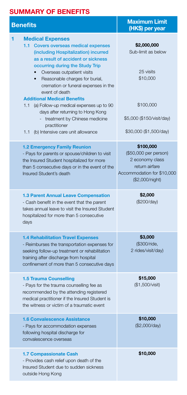# SUMMARY OF BENEFITS

| <b>Benefits</b>                                                                                                                                                                                                                                                                                                                                      | <b>Maximum Limit</b><br>(HK\$) per year                                                                                  |
|------------------------------------------------------------------------------------------------------------------------------------------------------------------------------------------------------------------------------------------------------------------------------------------------------------------------------------------------------|--------------------------------------------------------------------------------------------------------------------------|
| <b>Medical Expenses</b><br>1<br><b>Covers overseas medical expenses</b><br>1.1 <sub>1</sub><br>(including Hospitalization) incurred<br>as a result of accident or sickness<br>occurring during the Study Trip<br>Overseas outpatient visits<br>Reasonable charges for burial,<br>$\bullet$<br>cremation or funeral expenses in the<br>event of death | \$2,000,000<br>Sub-limit as below<br>25 visits<br>\$10,000                                                               |
| <b>Additional Medical Benefits</b><br>(a) Follow-up medical expenses up to 90<br>1.1<br>days after returning to Hong Kong<br>- treatment by Chinese medicine<br>practitioner<br>(b) Intensive care unit allowance<br>1.1                                                                                                                             | \$100,000<br>\$5,000 (\$150/visit/day)<br>\$30,000 (\$1,500/day)                                                         |
| <b>1.2 Emergency Family Reunion</b><br>- Pays for parents or spouse/children to visit<br>the Insured Student hospitalized for more<br>than 5 consecutive days or in the event of the<br>Insured Student's death                                                                                                                                      | \$100,000<br>(\$50,000 per person)<br>2 economy class<br>return airfare<br>Accommodation for \$10,000<br>(\$2,000/night) |
| <b>1.3 Parent Annual Leave Compensation</b><br>- Cash benefit in the event that the parent<br>takes annual leave to visit the Insured Student<br>hospitalized for more than 5 consecutive<br>days                                                                                                                                                    | \$2,000<br>(\$200/day)                                                                                                   |
| <b>1.4 Rehabilitation Travel Expenses</b><br>- Reimburses the transportation expenses for<br>seeking follow-up treatment or rehabilitation<br>training after discharge from hospital<br>confinement of more than 5 consecutive days                                                                                                                  | \$3,000<br>(\$300/ride,<br>2 rides/visit/day)                                                                            |
| <b>1.5 Trauma Counselling</b><br>- Pays for the trauma counselling fee as<br>recommended by the attending registered<br>medical practitioner if the Insured Student is<br>the witness or victim of a traumatic event                                                                                                                                 | \$15,000<br>(\$1,500/visit)                                                                                              |
| <b>1.6 Convalescence Assistance</b><br>- Pays for accommodation expenses<br>following hospital discharge for<br>convalescence overseas                                                                                                                                                                                                               | \$10,000<br>(\$2,000/day)                                                                                                |
| <b>1.7 Compassionate Cash</b><br>- Provides cash relief upon death of the<br>Insured Student due to sudden sickness<br>outside Hong Kong                                                                                                                                                                                                             | \$10,000                                                                                                                 |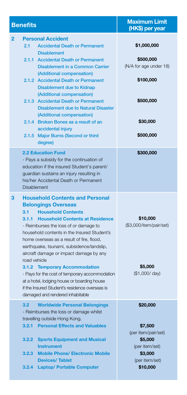| <b>Benefits</b>                                                                                                                                                                                                                                                                                                                                                                                                                                                                                                                                                       | <b>Maximum Limit</b><br>(HK\$) per year                                                                          |
|-----------------------------------------------------------------------------------------------------------------------------------------------------------------------------------------------------------------------------------------------------------------------------------------------------------------------------------------------------------------------------------------------------------------------------------------------------------------------------------------------------------------------------------------------------------------------|------------------------------------------------------------------------------------------------------------------|
| <b>Personal Accident</b><br>$\overline{2}$<br>2.1<br><b>Accidental Death or Permanent</b><br><b>Disablement</b><br>2.1.1 Accidental Death or Permanent<br><b>Disablement in a Common Carrier</b><br>(Additional compensation)<br>2.1.2 Accidental Death or Permanent<br><b>Disablement due to Kidnap</b><br>(Additional compensation)<br>2.1.3 Accidental Death or Permanent<br><b>Disablement due to Natural Disaster</b><br>(Additional compensation)<br>2.1.4 Broken Bones as a result of an<br>accidental injury<br>2.1.5 Major Burns (Second or third<br>degree) | \$1,000,000<br>\$500,000<br>(N/A for age under 18)<br>\$100,000<br>\$500,000<br>\$30,000<br>\$500,000            |
| <b>2.2 Education Fund</b><br>- Pays a subsidy for the continuation of<br>education if the insured Student's parent/<br>guardian sustains an injury resulting in<br>his/her Accidental Death or Permanent<br><b>Disablement</b>                                                                                                                                                                                                                                                                                                                                        | \$300,000                                                                                                        |
| <b>Household Contents and Personal</b><br>3<br><b>Belongings Overseas</b><br>3.1<br><b>Household Contents</b><br>3.1.1 Household Contents at Residence<br>- Reimburses the loss of or damage to<br>household contents in the Insured Student's<br>home overseas as a result of fire, flood,<br>earthquake, tsunami, subsidence/landslip,<br>aircraft damage or impact damage by any<br>road vehicle                                                                                                                                                                   | \$10,000<br>(\$3,000/item/pair/set)                                                                              |
| 3.1.2 Temporary Accommodation<br>- Pays for the cost of temporary accommodation<br>at a hotel, lodging house or boarding house<br>if the Insured Student's residence overseas is<br>damaged and rendered inhabitable                                                                                                                                                                                                                                                                                                                                                  | \$5,000<br>(\$1,000/day)                                                                                         |
| 3.2<br><b>Worldwide Personal Belongings</b><br>- Reimburses the loss or damage whilst<br>travelling outside Hong Kong.<br>3.2.1<br><b>Personal Effects and Valuables</b><br><b>Sports Equipment and Musical</b><br>3.2.2<br><b>Instrument</b><br><b>Mobile Phone/ Electronic Mobile</b><br>3.2.3<br><b>Devices/Tablet</b><br><b>Laptop/ Portable Computer</b><br>3.2.4                                                                                                                                                                                                | \$20,000<br>\$7,500<br>(per item/pair/set)<br>\$5,000<br>(per item/set)<br>\$3,000<br>(per item/set)<br>\$10,000 |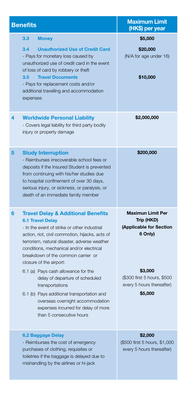| <b>Benefits</b>                                                                                                                                                                                                                                                                                                                                                                                                                                                                                                                                                                                 | <b>Maximum Limit</b><br>(HK\$) per year                                                                                                                        |
|-------------------------------------------------------------------------------------------------------------------------------------------------------------------------------------------------------------------------------------------------------------------------------------------------------------------------------------------------------------------------------------------------------------------------------------------------------------------------------------------------------------------------------------------------------------------------------------------------|----------------------------------------------------------------------------------------------------------------------------------------------------------------|
| 3.3<br><b>Money</b>                                                                                                                                                                                                                                                                                                                                                                                                                                                                                                                                                                             | \$5,000                                                                                                                                                        |
| 3.4<br><b>Unauthorized Use of Credit Card</b><br>- Pays for monetary loss caused by<br>unauthorized use of credit card in the event<br>of loss of card by robbery or theft<br><b>Travel Documents</b><br>3.5<br>- Pays for replacement costs and/or<br>additional travelling and accommodation                                                                                                                                                                                                                                                                                                  | \$20,000<br>(N/A for age under 16)<br>\$10,000                                                                                                                 |
| expenses                                                                                                                                                                                                                                                                                                                                                                                                                                                                                                                                                                                        |                                                                                                                                                                |
| 4<br><b>Worldwide Personal Liability</b><br>- Covers legal liability for third party bodily<br>injury or property damage                                                                                                                                                                                                                                                                                                                                                                                                                                                                        | \$2,000,000                                                                                                                                                    |
| 5<br><b>Study Interruption</b><br>- Reimburses irrecoverable school fees or<br>deposits if the Insured Student is prevented<br>from continuing with his/her studies due<br>to hospital confinement of over 30 days,<br>serious injury, or sickness, or paralysis, or<br>death of an immediate family member                                                                                                                                                                                                                                                                                     | \$200,000                                                                                                                                                      |
| 6<br><b>Travel Delay &amp; Additional Benefits</b><br><b>6.1 Travel Delay</b><br>- In the event of strike or other industrial<br>action, riot, civil commotion, hijacks, acts of<br>terrorism, natural disaster, adverse weather<br>conditions, mechanical and/or electrical<br>breakdown of the common carrier or<br>closure of the airport:<br>6.1 (a) Pays cash allowance for the<br>delay of departure of scheduled<br>transportations<br>6.1 (b) Pays additional transportation and<br>overseas overnight accommodation<br>expenses incurred for delay of more<br>than 5 consecutive hours | <b>Maximun Limit Per</b><br>Trip (HKD)<br>(Applicable for Section<br>6 Only)<br>\$3,000<br>(\$300 first 5 hours, \$500<br>every 5 hours thereafter)<br>\$5,000 |
| 6.2 Baggage Delay<br>- Reimburses the cost of emergency<br>purchases of clothing, requisites or<br>toiletries if the baggage is delayed due to<br>mishandling by the airlines or hi-jack                                                                                                                                                                                                                                                                                                                                                                                                        | \$2,000<br>(\$500 first 5 hours, \$1,000<br>every 5 hours thereafter)                                                                                          |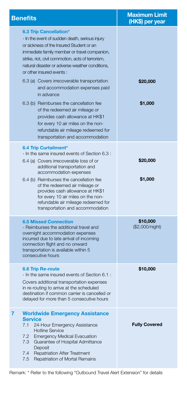| <b>Benefits</b>                                                                                                                                                                                                                                                                                                          | <b>Maximum Limit</b><br>(HK\$) per year |
|--------------------------------------------------------------------------------------------------------------------------------------------------------------------------------------------------------------------------------------------------------------------------------------------------------------------------|-----------------------------------------|
| 6.3 Trip Cancellation*<br>- In the event of sudden death, serious injury<br>or sickness of the Insured Student or an<br>immediate family member or travel companion.<br>strike, riot, civil commotion, acts of terrorism,<br>natural disaster or adverse weather conditions.<br>or other insured events:                 |                                         |
| 6.3 (a) Covers irrecoverable transportation<br>and accommodation expenses paid<br>in advance                                                                                                                                                                                                                             | \$20,000                                |
| 6.3 (b) Reimburses the cancellation fee<br>of the redeemed air mileage or<br>provides cash allowance at HK\$1<br>for every 10 air miles on the non-<br>refundable air mileage redeemed for<br>transportation and accommodation                                                                                           | \$1,000                                 |
| 6.4 Trip Curtailment*<br>- In the same insured events of Section 6.3 :<br>6.4 (a) Covers irrecoverable loss of or<br>additional transportation and<br>accommodation expenses                                                                                                                                             | \$20,000                                |
| 6.4 (b) Reimburses the cancellation fee<br>of the redeemed air mileage or<br>provides cash allowance at HK\$1<br>for every 10 air miles on the non-<br>refundable air mileage redeemed for<br>transportation and accommodation                                                                                           | \$1,000                                 |
| <b>6.5 Missed Connection</b><br>- Reimburses the additional travel and<br>overnight accommodation expenses<br>incurred due to late arrival of incoming<br>connection flight and no onward<br>transportation is available within 5<br>consecutive hours                                                                   | \$10,000<br>(\$2,000/night)             |
| <b>6.6 Trip Re-route</b><br>- In the same insured events of Section 6.1 :<br>Covers additional transportation expenses<br>in re-routing to arrive at the scheduled<br>destination if common carrier is cancelled or<br>delayed for more than 5 consecutive hours                                                         | \$10,000                                |
| <b>Worldwide Emergency Assistance</b><br>7<br><b>Service</b><br>24-Hour Emergency Assistance<br>7.1<br><b>Hotline Service</b><br>7.2<br><b>Emergency Medical Evacuation</b><br>Guarantee of Hospital Admittance<br>7.3<br>Deposit<br>7.4<br><b>Repatriation After Treatment</b><br>Repatriation of Mortal Remains<br>7.5 | <b>Fully Covered</b>                    |

Remark: \* Refer to the following "Outbound Travel Alert Extension" for details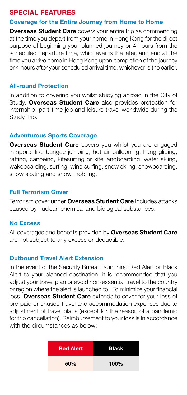# SPECIAL FEATURES

#### Coverage for the Entire Journey from Home to Home

**Overseas Student Care** covers your entire trip as commencing at the time you depart from your home in Hong Kong for the direct purpose of beginning your planned journey or 4 hours from the scheduled departure time, whichever is the later, and end at the time you arrive home in Hong Kong upon completion of the journey or 4 hours after your scheduled arrival time, whichever is the earlier.

#### All-round Protection

In addition to covering you whilst studying abroad in the City of Study, **Overseas Student Care** also provides protection for internship, part-time job and leisure travel worldwide during the Study Trip.

#### Adventurous Sports Coverage

**Overseas Student Care** covers you whilst you are engaged in sports like bungee jumping, hot air ballooning, hang-gliding, rafting, canoeing, kitesurfing or kite landboarding, water skiing, wakeboarding, surfing, wind surfing, snow skiing, snowboarding, snow skating and snow mobiling.

#### Full Terrorism Cover

Terrorism cover under Overseas Student Care includes attacks caused by nuclear, chemical and biological substances.

#### No Excess

All coverages and benefits provided by **Overseas Student Care** are not subject to any excess or deductible.

#### Outbound Travel Alert Extension

In the event of the Security Bureau launching Red Alert or Black Alert to your planned destination, it is recommended that you adjust your travel plan or avoid non-essential travel to the country or region where the alert is launched to. To minimize your financial loss, Overseas Student Care extends to cover for your loss of pre-paid or unused travel and accommodation expenses due to adjustment of travel plans (except for the reason of a pandemic for trip cancellation). Reimbursement to your loss is in accordance with the circumstances as below:

| <b>Red Alert</b> | <b>Black</b> |
|------------------|--------------|
| 50%              | 100%         |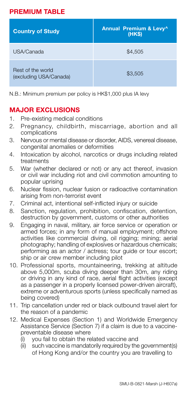# premium table

| <b>Country of Study</b>                     | Annual Premium & Levy^<br>(HKS) |
|---------------------------------------------|---------------------------------|
| USA/Canada                                  | \$4.505                         |
| Rest of the world<br>(excluding USA/Canada) | \$3.505                         |

N.B.: Minimum premium per policy is HK\$1,000 plus IA levy

### MAJOR EXCLUSIONS

- 1. Pre-existing medical conditions
- 2. Pregnancy, childbirth, miscarriage, abortion and all complications
- 3. Nervous or mental disease or disorder, AIDS, venereal disease, congenital anomalies or deformities
- 4. Intoxication by alcohol, narcotics or drugs including related treatments
- 5. War (whether declared or not) or any act thereof, invasion or civil war including riot and civil commotion amounting to popular uprising
- 6. Nuclear fission, nuclear fusion or radioactive contamination arising from non-terrorist event
- 7. Criminal act, intentional self-inflicted injury or suicide
- 8. Sanction, regulation, prohibition, confiscation, detention, destruction by government, customs or other authorities
- 9. Engaging in naval, military, air force service or operation or armed forces; in any form of manual employment; offshore activities like commercial diving, oil rigging; mining; aerial photography; handling of explosives or hazardous chemicals; performing as an actor / actress; tour guide or tour escort; ship or air crew member including pilot
- 10. Professional sports, mountaineering, trekking at altitude above 5,000m, scuba diving deeper than 30m, any riding or driving in any kind of race, aerial flight activities (except as a passenger in a properly licensed power-driven aircraft), extreme or adventurous sports (unless specifically named as being covered)
- 11. Trip cancellation under red or black outbound travel alert for the reason of a pandemic
- 12. Medical Expenses (Section 1) and Worldwide Emergency Assistance Service (Section 7) if a claim is due to a vaccinepreventable disease where
	- (i) you fail to obtain the related vaccine and
	- $(iii)$  such vaccine is mandatorily required by the government(s) of Hong Kong and/or the country you are travelling to